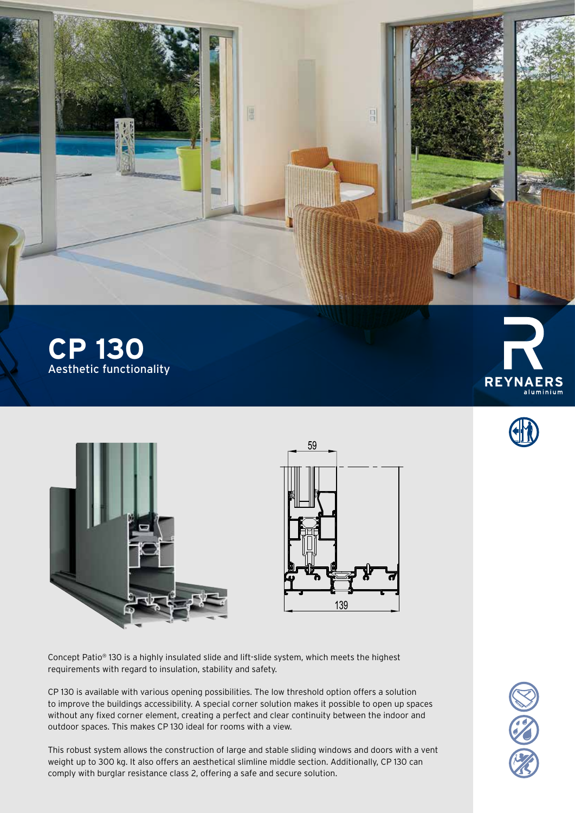

**CP 130** Aesthetic functionality







Concept Patio® 130 is a highly insulated slide and lift-slide system, which meets the highest requirements with regard to insulation, stability and safety.

CP 130 is available with various opening possibilities. The low threshold option offers a solution to improve the buildings accessibility. A special corner solution makes it possible to open up spaces without any fixed corner element, creating a perfect and clear continuity between the indoor and outdoor spaces. This makes CP 130 ideal for rooms with a view.

This robust system allows the construction of large and stable sliding windows and doors with a vent weight up to 300 kg. It also offers an aesthetical slimline middle section. Additionally, CP 130 can comply with burglar resistance class 2, offering a safe and secure solution.

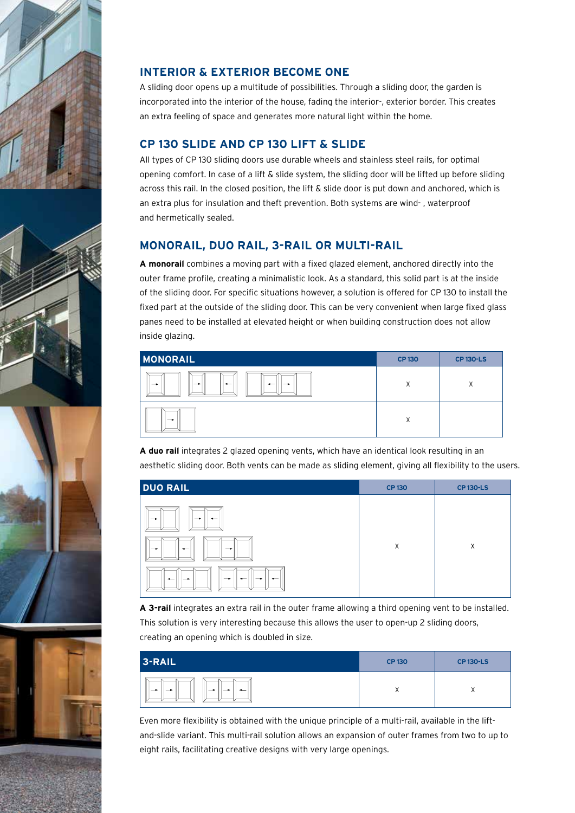





## **INTERIOR & EXTERIOR BECOME ONE**

A sliding door opens up a multitude of possibilities. Through a sliding door, the garden is incorporated into the interior of the house, fading the interior-, exterior border. This creates an extra feeling of space and generates more natural light within the home.

## **CP 130 SLIDE AND CP 130 LIFT & SLIDE**

All types of CP 130 sliding doors use durable wheels and stainless steel rails, for optimal opening comfort. In case of a lift & slide system, the sliding door will be lifted up before sliding across this rail. In the closed position, the lift & slide door is put down and anchored, which is an extra plus for insulation and theft prevention. Both systems are wind- , waterproof and hermetically sealed.

## **MONORAIL, DUO RAIL, 3-RAIL OR MULTI-RAIL**

**A monorail** combines a moving part with a fixed glazed element, anchored directly into the outer frame profile, creating a minimalistic look. As a standard, this solid part is at the inside of the sliding door. For specific situations however, a solution is offered for CP 130 to install the fixed part at the outside of the sliding door. This can be very convenient when large fixed glass panes need to be installed at elevated height or when building construction does not allow inside glazing.

| <b>MONORAIL</b>                                                     | <b>CP130</b> | <b>CP 130-LS</b> |
|---------------------------------------------------------------------|--------------|------------------|
| ╺<br>-<br>$\overline{\phantom{0}}$<br>$\overline{\phantom{a}}$<br>- | X            | X                |
| -                                                                   | X            |                  |

**A duo rail** integrates 2 glazed opening vents, which have an identical look resulting in an aesthetic sliding door. Both vents can be made as sliding element, giving all flexibility to the users.

| <b>DUO RAIL</b>                                                                                                               | <b>CP130</b> | <b>CP 130-LS</b> |
|-------------------------------------------------------------------------------------------------------------------------------|--------------|------------------|
| I<br>$\rightarrow$<br>$\overline{\phantom{0}}$<br>→<br>$\longrightarrow$<br>$\rightarrow$<br>$\overline{\phantom{0}}$         | X            | X                |
| $\parallel$<br>$\rightarrow$<br>$\overline{\phantom{0}}$<br>$\rightarrow$<br>$-$<br>$\rightarrow$<br>$\overline{\phantom{0}}$ |              |                  |

**A 3-rail** integrates an extra rail in the outer frame allowing a third opening vent to be installed. This solution is very interesting because this allows the user to open-up 2 sliding doors, creating an opening which is doubled in size.

| 3-RAIL                                                   | <b>CP130</b> | <b>CP 130-LS</b> |
|----------------------------------------------------------|--------------|------------------|
| $\rightarrow$<br>$\overline{\phantom{0}}$<br>-<br>-<br>_ | $\lambda$    |                  |

Even more flexibility is obtained with the unique principle of a multi-rail, available in the liftand-slide variant. This multi-rail solution allows an expansion of outer frames from two to up to eight rails, facilitating creative designs with very large openings.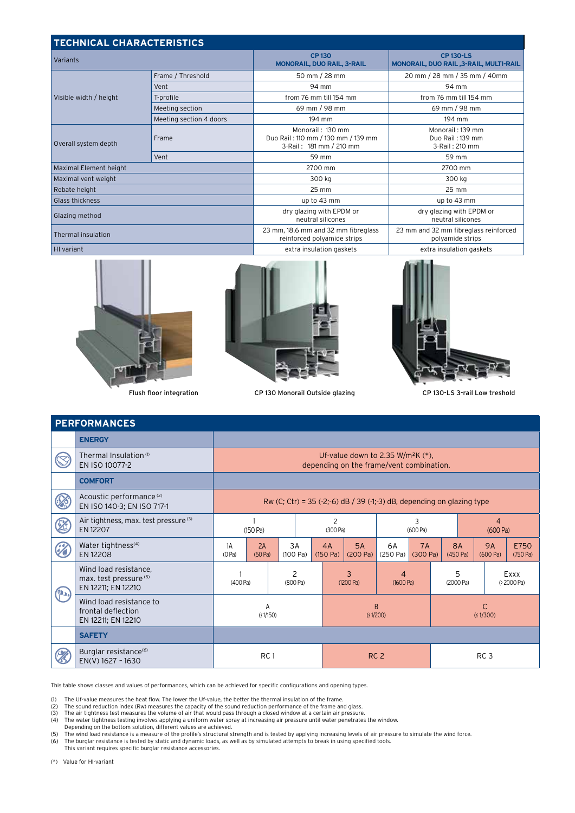| <b>TECHNICAL CHARACTERISTICS</b> |                         |                                                                                   |                                                            |  |  |  |  |
|----------------------------------|-------------------------|-----------------------------------------------------------------------------------|------------------------------------------------------------|--|--|--|--|
| Variants                         |                         | <b>CP130</b><br><b>MONORAIL, DUO RAIL, 3-RAIL</b>                                 | <b>CP 130-LS</b><br>MONORAIL, DUO RAIL, 3-RAIL, MULTI-RAIL |  |  |  |  |
|                                  | Frame / Threshold       | 50 mm / 28 mm                                                                     | 20 mm / 28 mm / 35 mm / 40mm                               |  |  |  |  |
| Visible width / height           | Vent                    | 94 mm                                                                             | 94 mm                                                      |  |  |  |  |
|                                  | T-profile               | from 76 mm till 154 mm                                                            | from 76 mm till 154 mm                                     |  |  |  |  |
|                                  | Meeting section         | 69 mm / 98 mm                                                                     | 69 mm / 98 mm                                              |  |  |  |  |
|                                  | Meeting section 4 doors | 194 mm                                                                            | 194 mm                                                     |  |  |  |  |
| Overall system depth             | Frame                   | Monorail: 130 mm<br>Duo Rail: 110 mm / 130 mm / 139 mm<br>3-Rail: 181 mm / 210 mm | Monorail: 139 mm<br>Duo Rail: 139 mm<br>3-Rail: 210 mm     |  |  |  |  |
|                                  | Vent                    | 59 mm                                                                             | 59 mm                                                      |  |  |  |  |
| Maximal Element height           |                         | 2700 mm                                                                           | 2700 mm                                                    |  |  |  |  |
| Maximal vent weight              |                         | 300 kg                                                                            | 300 kg                                                     |  |  |  |  |
| Rebate height                    |                         | 25 mm                                                                             | 25 mm                                                      |  |  |  |  |
| Glass thickness                  |                         | up to 43 mm                                                                       | up to 43 mm                                                |  |  |  |  |
| Glazing method                   |                         | dry glazing with EPDM or<br>neutral silicones                                     | dry glazing with EPDM or<br>neutral silicones              |  |  |  |  |
| Thermal insulation               |                         | 23 mm, 18.6 mm and 32 mm fibreglass<br>reinforced polyamide strips                | 23 mm and 32 mm fibreglass reinforced<br>polyamide strips  |  |  |  |  |
| HI variant                       |                         | extra insulation gaskets                                                          | extra insulation gaskets                                   |  |  |  |  |





Flush floor integration CP 130 Monorail Outside glazing CP 130-LS 3-rail Low treshold



| <b>PERFORMANCES</b>                   |                                                                       |                                                                                              |               |                |                            |                |                |                |                 |                       |  |                       |                  |
|---------------------------------------|-----------------------------------------------------------------------|----------------------------------------------------------------------------------------------|---------------|----------------|----------------------------|----------------|----------------|----------------|-----------------|-----------------------|--|-----------------------|------------------|
|                                       | <b>ENERGY</b>                                                         |                                                                                              |               |                |                            |                |                |                |                 |                       |  |                       |                  |
|                                       | Thermal Insulation <sup>(1)</sup><br>EN ISO 10077-2                   | Uf-value down to 2.35 W/m <sup>2</sup> K $(*)$ ,<br>depending on the frame/vent combination. |               |                |                            |                |                |                |                 |                       |  |                       |                  |
|                                       | <b>COMFORT</b>                                                        |                                                                                              |               |                |                            |                |                |                |                 |                       |  |                       |                  |
|                                       | Acoustic performance <sup>(2)</sup><br>EN ISO 140-3; EN ISO 717-1     | Rw (C; Ctr) = 35 (-2;-6) dB $/$ 39 (-1;-3) dB, depending on glazing type                     |               |                |                            |                |                |                |                 |                       |  |                       |                  |
| Z                                     | Air tightness, max. test pressure (3)<br>EN 12207                     | (150 Pa)                                                                                     |               |                |                            | (300 Pa)       |                | 3<br>(600 Pa)  |                 | 4<br>(600 Pa)         |  |                       |                  |
|                                       | Water tightness <sup>(4)</sup><br>EN 12208                            | 1A<br>(0 Pa)                                                                                 | 2A<br>(50 Pa) | 3A<br>(100 Pa) |                            | 4A<br>(150 Pa) | 5A<br>(200 Pa) | 6A<br>(250 Pa) | 7A<br>(300 Pa)  | <b>8A</b><br>(450 Pa) |  | <b>9A</b><br>(600 Pa) | E750<br>(750 Pa) |
| $\left( \mathbf{p}_{\bullet }\right)$ | Wind load resistance,<br>max. test pressure (5)<br>EN 12211; EN 12210 | (400 Pa)                                                                                     |               | 2<br>(800 Pa)  |                            |                | 3<br>(1200 Pa) | 4<br>(1600 Pa) |                 | 5<br>(2000 Pa)        |  | Exxx<br>(>2000 Pa)    |                  |
|                                       | Wind load resistance to<br>frontal deflection<br>EN 12211; EN 12210   | A<br>(51/150)                                                                                |               |                | $\overline{B}$<br>(51/200) |                |                |                | C<br>(51/300)   |                       |  |                       |                  |
|                                       | <b>SAFETY</b>                                                         |                                                                                              |               |                |                            |                |                |                |                 |                       |  |                       |                  |
|                                       | Burglar resistance <sup>(6)</sup><br>EN(V) 1627 - 1630                | RC <sub>1</sub>                                                                              |               |                | RC <sub>2</sub>            |                |                |                | RC <sub>3</sub> |                       |  |                       |                  |

This table shows classes and values of performances, which can be achieved for specific configurations and opening types.

(1) The Uf-value measures the heat flow. The lower the Uf-value, the better the thermal insulation of the frame.<br>(2) The sound reduction index (Rw) measures the capacity of the sound reduction performance of the frame an<br>(

(2) The sound reduction index (Rw) measures the capacity of the sound reduction performance of the frame and glass.<br>(3) The air tightness test measures the volume of air that would pass through a closed window at a certa

(4) The water tightness testing involves applying a uniform water spray at increasing air pressure until water penetrates the window. Depending on the bottom solution, different values are achieved.

(5) The wind load resistance is a measure of the profile's structural strength and is tested by applying increasing levels of air pressure to simulate the wind force.

(6) The burglar resistance is tested by static and dynamic loads, as well as by simulated attempts to break in using specified tools. This variant requires specific burglar resistance accessories.

(\*) Value for HI-variant